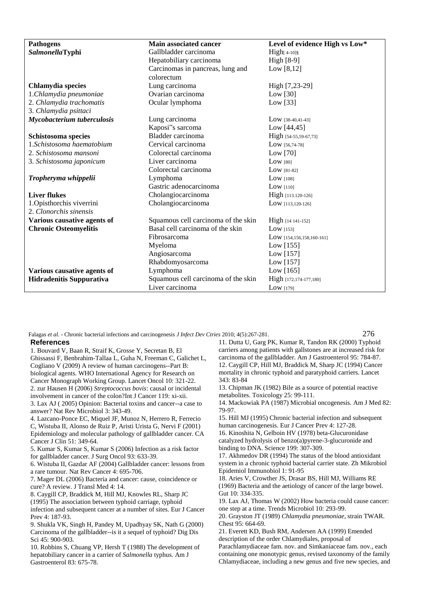| <b>Pathogens</b>                | <b>Main associated cancer</b>       | Level of evidence High vs Low* |
|---------------------------------|-------------------------------------|--------------------------------|
| SalmonellaTyphi                 | Gallbladder carcinoma               | $High[4-10]\$                  |
|                                 | Hepatobiliary carcinoma             | High [8-9]                     |
|                                 | Carcinomas in pancreas, lung and    | Low $[8,12]$                   |
|                                 | colorectum                          |                                |
| Chlamydia species               | Lung carcinoma                      | High [7,23-29]                 |
| 1.Chlamydia pneumoniae          | Ovarian carcinoma                   | Low $[30]$                     |
| 2. Chlamydia trachomatis        | Ocular lymphoma                     | Low $[33]$                     |
| 3. Chlamydia psittaci           |                                     |                                |
| Mycobacterium tuberculosis      | Lung carcinoma                      | $Low$ [38-40,41-43]            |
|                                 | Kaposi"s sarcoma                    | Low $[44, 45]$                 |
| Schistosoma species             | Bladder carcinoma                   | High [54-55,59-67,73]          |
| 1.Schistosoma haematobium       | Cervical carcinoma                  | $Low$ [56,74-78]               |
| 2. Schistosoma mansoni          | Colorectal carcinoma                | Low $[70]$                     |
| 3. Schistosoma japonicum        | Liver carcinoma                     | Low $[80]$                     |
|                                 | Colorectal carcinoma                | $Low$ [81-82]                  |
| Tropheryma whippelii            | Lymphoma                            | Low $[108]$                    |
|                                 | Gastric adenocarcinoma              | Low $[110]$                    |
| <b>Liver flukes</b>             | Cholangiocarcinoma                  | High [113.120-126]             |
| 1. Opisthorchis viverrini       | Cholangiocarcinoma                  | $Low$ [113,120-126]            |
| 2. Clonorchis sinensis          |                                     |                                |
| Various causative agents of     | Squamous cell carcinoma of the skin | High [14 141-152]              |
| <b>Chronic Osteomyelitis</b>    | Basal cell carcinoma of the skin    | Low $[153]$                    |
|                                 | Fibrosarcoma                        | $Low$ [154,156,158,160-161]    |
|                                 | Myeloma                             | Low $[155]$                    |
|                                 | Angiosarcoma                        | Low $[157]$                    |
|                                 | Rhabdomyosarcoma                    | Low $[157]$                    |
| Various causative agents of     | Lymphoma                            | Low $[165]$                    |
| <b>Hidradenitis Suppurativa</b> | Squamous cell carcinoma of the skin | High [172,174-177,180]         |
|                                 | Liver carcinoma                     | Low $[179]$                    |

Falagas *et al. -* Chronic bacterial infections and carcinogenesis *J Infect Dev Ctries* 2010; 4(5):267-281. 276

## **References**

1. Bouvard V, Baan R, Straif K, Grosse Y, Secretan B, El Ghissassi F, Benbrahim-Tallaa L, Guha N, Freeman C, Galichet L, Cogliano V (2009) A review of human carcinogens--Part B: biological agents. WHO International Agency for Research on Cancer Monograph Working Group. Lancet Oncol 10: 321-22. 2. zur Hausen H (2006) *Streptococcus bovis*: causal or incidental involvement in cancer of the colon?Int J Cancer 119: xi-xii. 3. Lax AJ ( 2005) Opinion: Bacterial toxins and cancer--a case to answer? Nat Rev Microbiol 3: 343-49.

4. Lazcano-Ponce EC, Miquel JF, Munoz N, Herrero R, Ferrecio C, Wistuba II, Alonso de Ruiz P, Aristi Urista G, Nervi F (2001) Epidemiology and molecular pathology of gallbladder cancer. CA Cancer J Clin 51: 349-64.

5. Kumar S, Kumar S, Kumar S (2006) Infection as a risk factor for gallbladder cancer. J Surg Oncol 93: 633-39.

6. Wistuba II, Gazdar AF (2004) Gallbladder cancer: lessons from a rare tumour. Nat Rev Cancer 4: 695-706.

7. Mager DL (2006) Bacteria and cancer: cause, coincidence or cure? A review. J Transl Med 4: 14.

8. Caygill CP, Braddick M, Hill MJ, Knowles RL, Sharp JC

(1995) The association between typhoid carriage, typhoid

infection and subsequent cancer at a number of sites. Eur J Cancer Prev 4: 187-93.

9. Shukla VK, Singh H, Pandey M, Upadhyay SK, Nath G (2000) Carcinoma of the gallbladder--is it a sequel of typhoid? Dig Dis Sci 45: 900-903.

10. Robbins S, Chuang VP, Hersh T (1988) The development of hepatobiliary cancer in a carrier of *Salmonella* typhus. Am J Gastroenterol 83: 675-78.

11. Dutta U, Garg PK, Kumar R, Tandon RK (2000) Typhoid carriers among patients with gallstones are at increased risk for carcinoma of the gallbladder. Am J Gastroenterol 95: 784-87. 12. Caygill CP, Hill MJ, Braddick M, Sharp JC (1994) Cancer mortality in chronic typhoid and paratyphoid carriers. Lancet 343: 83-84

13. Chipman JK (1982) Bile as a source of potential reactive metabolites. Toxicology 25: 99-111.

14. Mackowiak PA (1987) Microbial oncogenesis. Am J Med 82: 79-97.

15. Hill MJ (1995) Chronic bacterial infection and subsequent human carcinogenesis. Eur J Cancer Prev 4: 127-28.

16. Kinoshita N, Gelboin HV (1978) beta-Glucuronidase catalyzed hydrolysis of benzo(a)pyrene-3-glucuronide and binding to DNA. Science 199: 307-309.

17. Akhmedov DR (1994) The status of the blood antioxidant system in a chronic typhoid bacterial carrier state. Zh Mikrobiol Epidemiol Immunobiol 1: 91-95

18. Aries V, Crowther JS, Drasar BS, Hill MJ, Williams RE (1969) Bacteria and the aetiology of cancer of the large bowel. Gut 10: 334-335.

19. Lax AJ, Thomas W (2002) How bacteria could cause cancer: one step at a time. Trends Microbiol 10: 293-99.

20. Grayston JT (1989) *Chlamydia pneumoniae*, strain TWAR. Chest 95: 664-69.

21. Everett KD, Bush RM, Andersen AA (1999) Emended description of the order Chlamydiales, proposal of Parachlamydiaceae fam. nov. and Simkaniaceae fam. nov., each containing one monotypic genus, revised taxonomy of the family Chlamydiaceae, including a new genus and five new species, and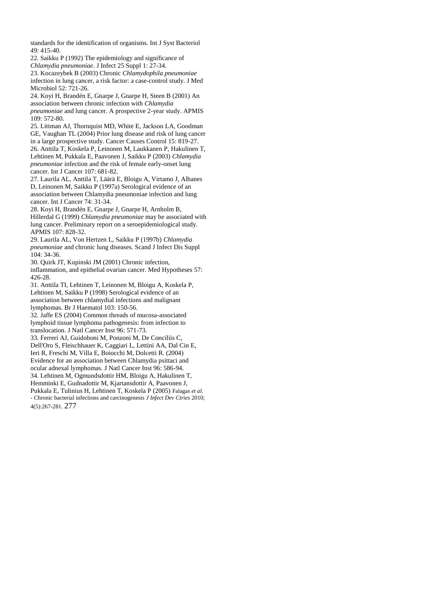standards for the identification of organisms. Int J Syst Bacteriol 49: 415-40.

22. Saikku P (1992) The epidemiology and significance of *Chlamydia pneumoniae*. J Infect 25 Suppl 1: 27-34.

23. Kocazeybek B (2003) Chronic *Chlamydophila pneumoniae*  infection in lung cancer, a risk factor: a case-control study. J Med Microbiol 52: 721-26.

24. Koyi H, Brandén E, Gnarpe J, Gnarpe H, Steen B (2001) An association between chronic infection with *Chlamydia pneumoniae* and lung cancer. A prospective 2-year study. APMIS  $109.572-80$ 

25. Littman AJ, Thornquist MD, White E, Jackson LA, Goodman GE, Vaughan TL (2004) Prior lung disease and risk of lung cancer in a large prospective study. Cancer Causes Control 15: 819-27. 26. Anttila T, Koskela P, Leinonen M, Laukkanen P, Hakulinen T,

Lehtinen M, Pukkala E, Paavonen J, Saikku P (2003) *Chlamydia pneumoniae* infection and the risk of female early-onset lung cancer. Int J Cancer 107: 681-82.

27. Laurila AL, Anttila T, Läärä E, Bloigu A, Virtamo J, Albanes D, Leinonen M, Saikku P (1997a) Serological evidence of an association between Chlamydia pneumoniae infection and lung cancer. Int J Cancer 74: 31-34.

28. Koyi H, Brandén E, Gnarpe J, Gnarpe H, Arnholm B, Hillerdal G (1999) *Chlamydia pneumoniae* may be associated with lung cancer. Preliminary report on a seroepidemiological study. APMIS 107: 828-32.

29. Laurila AL, Von Hertzen L, Saikku P (1997b) *Chlamydia pneumoniae* and chronic lung diseases. Scand J Infect Dis Suppl 104: 34-36.

30. Quirk JT, Kupinski JM (2001) Chronic infection, inflammation, and epithelial ovarian cancer. Med Hypotheses 57: 426-28.

31. Anttila TI, Lehtinen T, Leinonen M, Bloigu A, Koskela P, Lehtinen M, Saikku P (1998) Serological evidence of an association between chlamydial infections and malignant lymphomas. Br J Haematol 103: 150-56.

32. Jaffe ES (2004) Common threads of mucosa-associated lymphoid tissue lymphoma pathogenesis: from infection to translocation. J Natl Cancer Inst 96: 571-73.

33. Ferreri AJ, Guidoboni M, Ponzoni M, De Conciliis C, Dell'Oro S, Fleischhauer K, Caggiari L, Lettini AA, Dal Cin E, Ieri R, Freschi M, Villa E, Boiocchi M, Dolcetti R. (2004) Evidence for an association between Chlamydia psittaci and ocular adnexal lymphomas. J Natl Cancer Inst 96: 586-94. 34. Lehtinen M, Ogmundsdottir HM, Bloigu A, Hakulinen T, Hemminki E, Gudnadottir M, Kjartansdottir A, Paavonen J,

Pukkala E, Tulinius H, Lehtinen T, Koskela P (2005) Falagas *et al. -* Chronic bacterial infections and carcinogenesis *J Infect Dev Ctries* 2010; 4(5):267-281. 277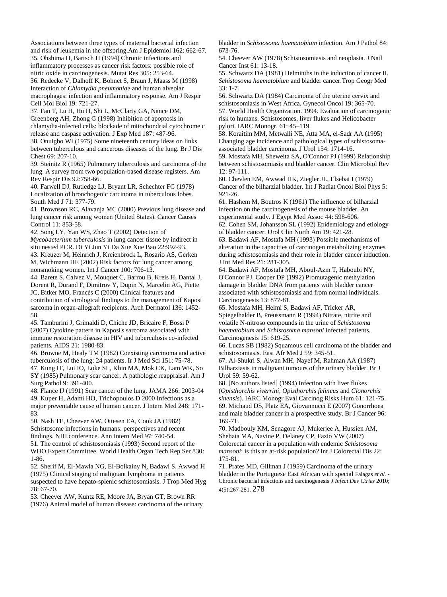Associations between three types of maternal bacterial infection and risk of leukemia in the offspring.Am J Epidemiol 162: 662-67. 35. Ohshima H, Bartsch H (1994) Chronic infections and inflammatory processes as cancer risk factors: possible role of nitric oxide in carcinogenesis. Mutat Res 305: 253-64. 36. Redecke V, Dalhoff K, Bohnet S, Braun J, Maass M (1998) Interaction of *Chlamydia pneumoniae* and human alveolar macrophages: infection and inflammatory response. Am J Respir Cell Mol Biol 19: 721-27.

37. Fan T, Lu H, Hu H, Shi L, McClarty GA, Nance DM, Greenberg AH, Zhong G (1998) Inhibition of apoptosis in chlamydia-infected cells: blockade of mitochondrial cytochrome c release and caspase activation. J Exp Med 187: 487-96. 38. Onuigbo WI (1975) Some nineteenth century ideas on links between tuberculous and cancerous diseases of the lung. Br J Dis Chest 69: 207-10.

39. Steinitz R (1965) Pulmonary tuberculosis and carcinoma of the lung. A survey from two population-based disease registers. Am Rev Respir Dis 92:758-66.

40. Farwell DJ, Rutledge LJ, Bryant LR, Schechter FG (1978) Localization of bronchogenic carcinoma in tuberculous lobes. South Med J 71: 377-79.

41. Brownson RC, Alavanja MC (2000) Previous lung disease and lung cancer risk among women (United States). Cancer Causes Control 11: 853-58.

42. Song LY, Yan WS, Zhao T (2002) Detection of *Mycobacterium tuberculosis* in lung cancer tissue by indirect in situ nested PCR. Di Yi Jun Yi Da Xue Xue Bao 22:992-93. 43. Kreuzer M, Heinrich J, Kreienbrock L, Rosario AS, Gerken

M, Wichmann HE (2002) Risk factors for lung cancer among nonsmoking women. Int J Cancer 100: 706-13.

44. Barete S, Calvez V, Mouquet C, Barrou B, Kreis H, Dantal J, Dorent R, Durand F, Dimitrov Y, Dupin N, Marcelin AG, Piette JC, Bitker MO, Francès C (2000) Clinical features and contribution of virological findings to the management of Kaposi sarcoma in organ-allograft recipients. Arch Dermatol 136: 1452- 58.

45. Tamburini J, Grimaldi D, Chiche JD, Bricaire F, Bossi P (2007) Cytokine pattern in Kaposi's sarcoma associated with immune restoration disease in HIV and tuberculosis co-infected patients. AIDS 21: 1980-83.

46. Browne M, Healy TM (1982) Coexisting carcinoma and active tuberculosis of the lung: 24 patients. Ir J Med Sci 151: 75-78.

47. Kung IT, Lui IO, Loke SL, Khin MA, Mok CK, Lam WK, So SY (1985) Pulmonary scar cancer. A pathologic reappraisal. Am J Surg Pathol 9: 391-400.

48. Flance IJ (1991) Scar cancer of the lung. JAMA 266: 2003-04 49. Kuper H, Adami HO, Trichopoulos D 2000 Infections as a major preventable cause of human cancer. J Intern Med 248: 171- 83.

50. Nash TE, Cheever AW, Ottesen EA, Cook JA (1982) Schistosome infections in humans: perspectives and recent findings. NIH conference. Ann Intern Med 97: 740-54.

51. The control of schistosomiasis (1993) Second report of the WHO Expert Committee. World Health Organ Tech Rep Ser 830: 1-86.

52. Sherif M, El-Mawla NG, El-Bolkainy N, Badawi S, Awwad H (1975) Clinical staging of malignant lymphoma in patients suspected to have hepato-splenic schistosomiasis. J Trop Med Hyg 78: 67-70.

53. Cheever AW, Kuntz RE, Moore JA, Bryan GT, Brown RR (1976) Animal model of human disease: carcinoma of the urinary bladder in *Schistosoma haematobium* infection. Am J Pathol 84: 673-76.

54. Cheever AW (1978) Schistosomiasis and neoplasia. J Natl Cancer Inst 61: 13-18.

55. Schwartz DA (1981) Helminths in the induction of cancer II. *Schistosoma haematobium* and bladder cancer.Trop Geogr Med  $33 \cdot 1 - 7$ 

56. Schwartz DA (1984) Carcinoma of the uterine cervix and schistosomiasis in West Africa. Gynecol Oncol 19: 365-70. 57. World Health Organization. 1994. Evaluation of carcinogenic risk to humans. Schistosomes, liver flukes and Helicobacter pylori. IARC Monogr. 61: 45–119.

58. Koraitim MM, Metwalli NE, Atta MA, el-Sadr AA (1995) Changing age incidence and pathological types of schistosomaassociated bladder carcinoma. J Urol 154: 1714-16.

59. Mostafa MH, Sheweita SA, O'Connor PJ (1999) Relationship between schistosomiasis and bladder cancer. Clin Microbiol Rev 12: 97-111.

60. Chevlen EM, Awwad HK, Ziegler JL, Elsebai I (1979) Cancer of the bilharzial bladder. Int J Radiat Oncol Biol Phys 5: 921-26.

61. Hashem M, Boutros K (1961) The influence of bilharzial infection on the carcinogenesis of the mouse bladder. An experimental study. J Egypt Med Assoc 44: 598-606.

62. Cohen SM, Johansson SL (1992) Epidemiology and etiology of bladder cancer. Urol Clin North Am 19: 421-28.

63. Badawi AF, Mostafa MH (1993) Possible mechanisms of alteration in the capacities of carcinogen metabolizing enzymes during schistosomiasis and their role in bladder cancer induction. J Int Med Res 21: 281-305.

64. Badawi AF, Mostafa MH, Aboul-Azm T, Haboubi NY, O'Connor PJ, Cooper DP (1992) Promutagenic methylation damage in bladder DNA from patients with bladder cancer associated with schistosomiasis and from normal individuals. Carcinogenesis 13: 877-81.

65. Mostafa MH, Helmi S, Badawi AF, Tricker AR, Spiegelhalder B, Preussmann R (1994) Nitrate, nitrite and volatile N-nitroso compounds in the urine of *Schistosoma haematobium* and *Schistosoma mansoni* infected patients. Carcinogenesis 15: 619-25.

66. Lucas SB (1982) Squamous cell carcinoma of the bladder and schistosomiasis. East Afr Med J 59: 345-51.

67. Al-Shukri S, Alwan MH, Nayef M, Rahman AA (1987) Bilharziasis in malignant tumours of the urinary bladder. Br J Urol 59: 59-62.

68. [No authors listed] (1994) Infection with liver flukes (*Opisthorchis viverrini*, *Opisthorchis felineus* and *Clonorchis sinensis*). IARC Monogr Eval Carcinog Risks Hum 61: 121-75. 69. Michaud DS, Platz EA, Giovannucci E (2007) Gonorrhoea and male bladder cancer in a prospective study. Br J Cancer 96: 169-71.

70. Madbouly KM, Senagore AJ, Mukerjee A, Hussien AM, Shehata MA, Navine P, Delaney CP, Fazio VW (2007) Colorectal cancer in a population with endemic *Schistosoma mansoni*: is this an at-risk population? Int J Colorectal Dis 22: 175-81.

71. Prates MD, Gillman J (1959) Carcinoma of the urinary bladder in the Portuguese East African with special Falagas *et al. -* Chronic bacterial infections and carcinogenesis *J Infect Dev Ctries* 2010; 4(5):267-281. 278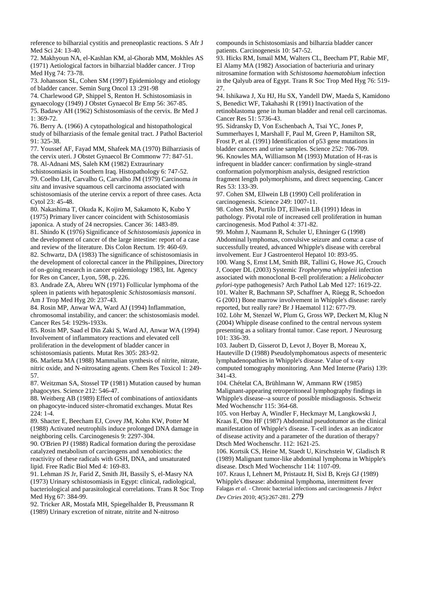reference to bilharzial cystitis and preneoplastic reactions. S Afr J Med Sci 24: 13-40.

72. Makhyoun NA, el-Kashlan KM, al-Ghorab MM, Mokhles AS (1971) Aetiological factors in bilharzial bladder cancer. J Trop Med Hyg 74: 73-78.

73. Johansson SL, Cohen SM (1997) Epidemiology and etiology of bladder cancer. Semin Surg Oncol 13 :291-98

74. Charlewood GP, Shippel S, Renton H. Schistosomiasis in

gynaecology (1949) J Obstet Gynaecol Br Emp 56: 367-85.

75. Badawy AH (1962) Schistosomiasis of the cervix. Br Med J 1: 369-72.

76. Berry A. (1966) A cytopathological and histopathological study of bilharziasis of the female genital tract. J Pathol Bacteriol 91: 325-38.

77. Youssef AF, Fayad MM, Shafeek MA (1970) Bilharziasis of the cervix uteri. J Obstet Gynaecol Br Commonw 77: 847-51. 78. Al-Adnani MS, Saleh KM (1982) Extraurinary

schistosomiasis in Southern Iraq. Histopathology 6: 747-52. 79. Coelho LH, Carvalho G, Carvalho JM (1979) Carcinoma *in situ* and invasive squamous cell carcinoma associated with schistosomiasis of the uterine cervix a report of three cases. Acta Cytol 23: 45-48.

80. Nakashima T, Okuda K, Kojiro M, Sakamoto K, Kubo Y (1975) Primary liver cancer coincident with Schistosomiasis japonica. A study of 24 necropsies. Cancer 36: 1483-89.

81. Shindo K (1976) Significance of *Schistosomiasis japonica* in the development of cancer of the large intestine: report of a case and review of the literature. Dis Colon Rectum. 19: 460-69. 82. Schwartz, DA (1983) The significance of schistosomiasis in the development of colorectal cancer in the Philippines, Directory of on-going research in cancer epidemiology 1983, Int. Agency

for Res on Cancer, Lyon, 598, p. 226. 83. Andrade ZA, Abreu WN (1971) Follicular lymphoma of the spleen in patients with hepatosplenic *Schistosomiasis mansoni*. Am J Trop Med Hyg 20: 237-43.

84. Rosin MP, Anwar WA, Ward AJ (1994) Inflammation, chromosomal instability, and cancer: the schistosomiasis model. Cancer Res 54: 1929s-1933s.

85. Rosin MP, Saad el Din Zaki S, Ward AJ, Anwar WA (1994) Involvement of inflammatory reactions and elevated cell proliferation in the development of bladder cancer in schistosomiasis patients. Mutat Res 305: 283-92.

86. Marletta MA (1988) Mammalian synthesis of nitrite, nitrate, nitric oxide, and N-nitrosating agents. Chem Res Toxicol 1: 249- 57.

87. Weitzman SA, Stossel TP (1981) Mutation caused by human phagocytes. Science 212: 546-47.

88. Weitberg AB (1989) Effect of combinations of antioxidants on phagocyte-induced sister-chromatid exchanges. Mutat Res 224: 1-4.

89. Shacter E, Beecham EJ, Covey JM, Kohn KW, Potter M (1988) Activated neutrophils induce prolonged DNA damage in neighboring cells. Carcinogenesis 9: 2297-304.

90. O'Brien PJ (1988) Radical formation during the peroxidase catalyzed metabolism of carcinogens and xenobiotics: the reactivity of these radicals with GSH, DNA, and unsaturated lipid. Free Radic Biol Med 4: 169-83.

91. Lehman JS Jr, Farid Z, Smith JH, Bassily S, el-Masry NA (1973) Urinary schistosomiasis in Egypt: clinical, radiological, bacteriological and parasitological correlations. Trans R Soc Trop Med Hyg 67: 384-99.

92. Tricker AR, Mostafa MH, Spiegelhalder B, Preussmann R (1989) Urinary excretion of nitrate, nitrite and N-nitroso

compounds in Schistosomiasis and bilharzia bladder cancer patients. Carcinogenesis 10: 547-52.

93. Hicks RM, Ismail MM, Walters CL, Beecham PT, Rabie MF, El Alamy MA (1982) Association of bacteriuria and urinary nitrosamine formation with *Schistosoma haematobium* infection in the Qalyub area of Egypt. Trans R Soc Trop Med Hyg 76: 519- 27.

94. Ishikawa J, Xu HJ, Hu SX, Yandell DW, Maeda S, Kamidono S, Benedict WF, Takahashi R (1991) Inactivation of the retinoblastoma gene in human bladder and renal cell carcinomas. Cancer Res 51: 5736-43.

95. Sidransky D, Von Eschenbach A, Tsai YC, Jones P, Summerhayes I, Marshall F, Paul M, Green P, Hamilton SR, Frost P, et al. (1991) Identification of p53 gene mutations in bladder cancers and urine samples. Science 252: 706-709. 96. Knowles MA, Williamson M (1993) Mutation of H-ras is infrequent in bladder cancer: confirmation by single-strand conformation polymorphism analysis, designed restriction fragment length polymorphisms, and direct sequencing. Cancer Res 53: 133-39.

97. Cohen SM, Ellwein LB (1990) Cell proliferation in carcinogenesis. Science 249: 1007-11.

98. Cohen SM, Purtilo DT, Ellwein LB (1991) Ideas in pathology. Pivotal role of increased cell proliferation in human carcinogenesis. Mod Pathol 4: 371-82.

99. Mohm J, Naumann R, Schuler U, Ehninger G (1998) Abdominal lymphomas, convulsive seizure and coma: a case of successfully treated, advanced Whipple's disease with cerebral involvement. Eur J Gastroenterol Hepatol 10: 893-95.

100. Wang S, Ernst LM, Smith BR, Tallini G, Howe JG, Crouch J, Cooper DL (2003) Systemic *Tropheryma whippleii* infection associated with monoclonal B-cell proliferation: a *Helicobacter pylori*-type pathogenesis? Arch Pathol Lab Med 127: 1619-22. 101. Walter R, Bachmann SP, Schaffner A, Rüegg R, Schoedon

G (2001) Bone marrow involvement in Whipple's disease: rarely reported, but really rare? Br J Haematol 112: 677-79.

102. Löhr M, Stenzel W, Plum G, Gross WP, Deckert M, Klug N (2004) Whipple disease confined to the central nervous system presenting as a solitary frontal tumor. Case report. J Neurosurg 101: 336-39.

103. Jaubert D, Gisserot D, Levot J, Boyer B, Moreau X, Hauteville D (1988) Pseudolymphomatous aspects of mesenteric lymphadenopathies in Whipple's disease. Value of x-ray computed tomography monitoring. Ann Med Interne (Paris) 139: 341-43.

104. Chételat CA, Brühlmann W, Ammann RW (1985) Malignant-appearing retroperitoneal lymphography findings in Whipple's disease--a source of possible misdiagnosis. Schweiz Med Wochenschr 115: 364-68.

105. von Herbay A, Windler F, Heckmayr M, Langkowski J, Kraas E, Otto HF (1987) Abdominal pseudotumor as the clinical manifestation of Whipple's disease. T-cell index as an indicator of disease activity and a parameter of the duration of therapy? Dtsch Med Wochenschr. 112: 1621-25.

106. Kortsik CS, Heine M, Staedt U, Kirschstein W, Gladisch R (1989) Malignant tumor-like abdominal lymphoma in Whipple's disease. Dtsch Med Wochenschr 114: 1107-09.

107. Kraus I, Lehnert M, Pristautz H, Sixl B, Krejs GJ (1989) Whipple's disease: abdominal lymphoma, intermittent fever Falagas *et al. -* Chronic bacterial infections and carcinogenesis *J Infect Dev Ctries* 2010; 4(5):267-281. 279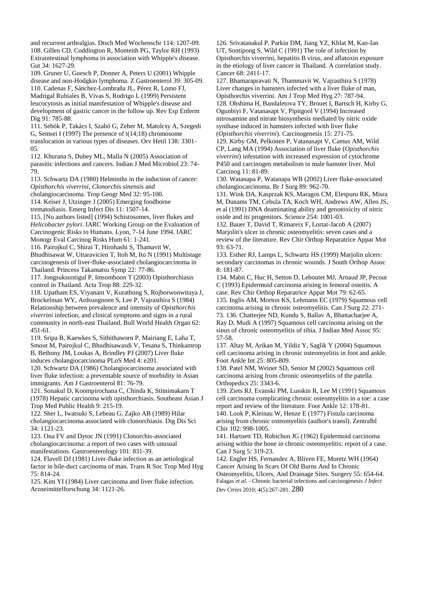and recurrent arthralgias. Dtsch Med Wochenschr 114: 1207-09. 108. Gillen CD, Coddington R, Monteith PG, Taylor RH (1993) Extraintestinal lymphoma in association with Whipple's disease. Gut 34: 1627-29.

109. Gruner U, Goesch P, Donner A, Peters U (2001) Whipple disease and non-Hodgkin lymphoma. Z Gastroenterol 39: 305-09. 110. Cadenas F, Sánchez-Lombraña JL, Pérez R, Lomo FJ, Madrigal Rubiales B, Vivas S, Rodrigo L (1999) Persistent leucocytosis as initial manifestation of Whipple's disease and development of gastric cancer in the follow up. Rev Esp Enferm Dig 91: 785-88.

111. Sebók P, Takács I, Szabó G, Zeher M, Matolcsy A, Szegedi G, Semsei I (1997) The presence of t(14;18) chromosome translocation in various types of diseases. Orv Hetil 138: 3301- 05.

112. Khurana S, Dubey ML, Malla N (2005) Association of parasitic infections and cancers. Indian J Med Microbiol 23: 74- 79.

113. Schwartz DA (1980) Helminths in the induction of cancer: *Opisthorchis viverrini*, *Clonorchis sinensis* and

cholangiocarcinoma. Trop Geogr Med 32: 95-100.

114. Keiser J, Utzinger J (2005) Emerging foodborne trematodiasis. Emerg Infect Dis 11: 1507-14.

115. [No authors listed] (1994) Schistosomes, liver flukes and *Helicobacter pylori*. IARC Working Group on the Evaluation of Carcinogenic Risks to Humans. Lyon, 7-14 June 1994. IARC Monogr Eval Carcinog Risks Hum 61: 1-241.

116. Pairojkul C, Shirai T, Hirohashi S, Thamavit W, Bhudhisawat W, Uttaravicien T, Itoh M, Ito N (1991) Multistage carcinogenesis of liver-fluke-associated cholangiocarcinoma in Thailand. Princess Takamatsu Symp 22: 77-86.

117. Jongsuksuntigul P, Imsomboon T (2003) Opisthorchiasis control in Thailand. Acta Trop 88: 229-32.

118. Upatham ES, Viyanant V, Kurathong S, Rojborwonwitaya J, Brockelman WY, Ardsungnoen S, Lee P, Vajrasthira S (1984) Relationship between prevalence and intensity of *Opisthorchis viverrini* infection, and clinical symptoms and signs in a rural community in north-east Thailand. Bull World Health Organ 62: 451-61.

119. Sripa B, Kaewkes S, Sithithaworn P, Mairiang E, Laha T, Smout M, Pairojkul C, Bhudhisawasdi V, Tesana S, Thinkamrop B, Bethony JM, Loukas A, Brindley PJ (2007) Liver fluke induces cholangiocarcinoma PLoS Med 4: e201.

120. Schwartz DA (1986) Cholangiocarcinoma associated with liver fluke infection: a preventable source of morbidity in Asian immigrants. Am J Gastroenterol 81: 76-79.

121. Sonakul D, Koompirochana C, Chinda K, Stitnimakarn T (1978) Hepatic carcinoma with opisthorchiasis. Southeast Asian J Trop Med Public Health 9: 215-19.

122. Sher L, Iwatsuki S, Lebeau G, Zajko AB (1989) Hilar cholangiocarcinoma associated with clonorchiasis. Dig Dis Sci 34: 1121-23.

123. Ona FV and Dytoc JN (1991) Clonorchis-associated cholangiocarcinoma: a report of two cases with unusual manifestations. Gastroenterology 101: 831-39.

124. Flavell DJ (1981) Liver-fluke infection as an aetiological factor in bile-duct carcinoma of man. Trans R Soc Trop Med Hyg 75: 814-24.

125. Kim YI (1984) Liver carcinoma and liver fluke infection. Arzneimittelforschung 34: 1121-26.

126. Srivatanakul P, Parkin DM, Jiang YZ, Khlat M, Kao-Ian UT, Sontipong S, Wild C (1991) The role of infection by Opisthorchis viverrini, hepatitis B virus, and aflatoxin exposure in the etiology of liver cancer in Thailand. A correlation study. Cancer 68: 2411-17.

127. Bhamarapravati N, Thammavit W, Vajrasthira S (1978) Liver changes in hamsters infected with a liver fluke of man, Opisthorchis viverrini. Am J Trop Med Hyg 27: 787-94. 128. Ohshima H, Bandaletova TY, Brouet I, Bartsch H, Kirby G, Ogunbiyi F, Vatanasapt V, Pipitgool V (1994) Increased nitrosamine and nitrate biosynthesis mediated by nitric oxide synthase induced in hamsters infected with liver fluke (*Opisthorchis viverrini*). Carcinogenesis 15: 271-75.

129. Kirby GM, Pelkonen P, Vatanasapt V, Camus AM, Wild CP, Lang MA (1994) Association of liver fluke (*Opisthorchis viverrini*) infestation with increased expression of cytochrome P450 and carcinogen metabolism in male hamster liver. Mol Carcinog 11: 81-89.

130. Watanapa P, Watanapa WB (2002) Liver fluke-associated cholangiocarcinoma. Br J Surg 89: 962-70.

131. Wink DA, Kasprzak KS, Maragos CM, Elespuru RK, Misra M, Dunams TM, Cebula TA, Koch WH, Andrews AW, Allen JS, et al (1991) DNA deaminating ability and genotoxicity of nitric oxide and its progenitors. Science 254: 1001-03.

132. Bauer T, David T, Rimareix F, Lortat-Jacob A (2007) Marjolin's ulcer in chronic osteomyelitis: seven cases and a review of the literature. Rev Chir Orthop Reparatrice Appar Mot 93: 63-71.

133. Esther RJ, Lamps L, Schwartz HS (1999) Marjolin ulcers: secondary carcinomas in chronic wounds. J South Orthop Assoc 8: 181-87.

134. Mabit C, Huc H, Setton D, Leboutet MJ, Arnaud JP, Pecout C (1993) Epidermoid carcinoma arising in femoral osteitis. A

case. Rev Chir Orthop Reparatrice Appar Mot 79: 62-65. 135. Inglis AM, Morton KS, Lehmann EC (1979) Squamous cell carcinoma arising in chronic osteomyelitis. Can J Surg 22: 271- 73. 136. Chatterjee ND, Kundu S, Ballav A, Bhattacharjee A, Ray D, Mudi A (1997) Squamous cell carcinoma arising on the sinus of chronic osteomyelitis of tibia. J Indian Med Assoc 95: 57-58.

137. Altay M, Arikan M, Yildiz Y, Saglik Y (2004) Squamous cell carcinoma arising in chronic osteomyelitis in foot and ankle. Foot Ankle Int 25: 805-809.

138. Patel NM, Weiner SD, Senior M (2002) Squamous cell carcinoma arising from chronic osteomyelitis of the patella. Orthopedics 25: 3343-6.

139. Ziets RJ, Evanski PM, Lusskin R, Lee M (1991) Squamous cell carcinoma complicating chronic osteomyelitis in a toe: a case report and review of the literature. Foot Ankle 12: 178-81.

140. Look P, Kleinau W, Henze E (1977) Fistula carcinoma arising from chronic osteomyelitis (author's transl). Zentralbl Chir 102: 998-1005.

141. Hartnett TD, Robichon JG (1962) Epidermoid carcinoma arising within the bone in chronic osteomyelitis: report of a case. Can J Surg 5: 319-23.

142. Engler HS, Fernandez A, Bliven FE, Moretz WH (1964) Cancer Arising In Scars Of Old Burns And In Chronic Osteomyelitis, Ulcers, And Drainage Sites. Surgery 55: 654-64. Falagas *et al. -* Chronic bacterial infections and carcinogenesis *J Infect Dev Ctries* 2010; 4(5):267-281. 280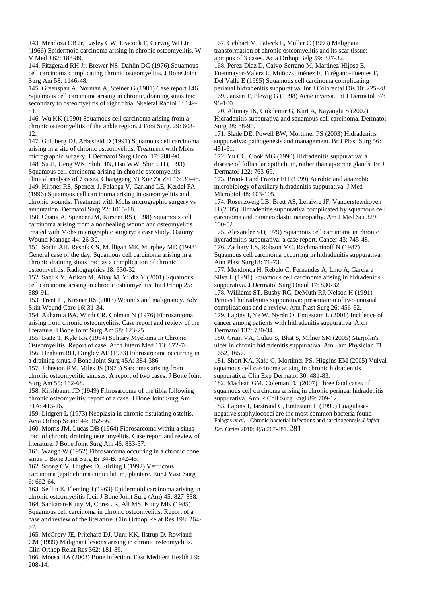143. Mendoza CB Jr, Easley GW, Leacock F, Gerwig WH Jr (1966) Epidermoid carcinoma arising in chronic osteomyelitis. W V Med J 62: 188-89.

144. Fitzgerald RH Jr, Brewer NS, Dahlin DC (1976) Squamouscell carcinoma complicating chronic osteomyelitis. J Bone Joint Surg Am 58: 1146-48.

145. Greenspan A, Norman A, Steiner G (1981) Case report 146. Squamous cell carcinoma arising in chronic, draining sinus tract secondary to osteomyelitis of right tibia. Skeletal Radiol 6: 149- 51.

146. Wu KK (1990) Squamous cell carcinoma arising from a chronic osteomyelitis of the ankle region. J Foot Surg. 29: 608- 12.

147. Goldberg DJ, Arbesfeld D (1991) Squamous cell carcinoma arising in a site of chronic osteomyelitis. Treatment with Mohs micrographic surgery. J Dermatol Surg Oncol 17: 788-90. 148. Su JI, Ueng WN, Shih HN, Hsu WW, Shin CH (1993)

Squamous cell carcinoma arising in chronic osteomyelitis- clinical analysis of 7 cases. Changgeng Yi Xue Za Zhi 16: 39-46. 149. Kirsner RS, Spencer J, Falanga V, Garland LE, Kerdel FA (1996) Squamous cell carcinoma arising in osteomyelitis and chronic wounds. Treatment with Mohs micrographic surgery vs amputation. Dermatol Surg 22: 1015-18.

150. Chang A, Spencer JM, Kirsner RS (1998) Squamous cell carcinoma arising from a nonhealing wound and osteomyelitis treated with Mohs micrographic surgery: a case study. Ostomy Wound Manage 44: 26-30.

151. Sonin AH, Resnik CS, Mulligan ME, Murphey MD (1998) General case of the day. Squamous cell carcinoma arising in a chronic draining sinus tract as a complication of chronic osteomyelitis. Radiographics 18: 530-32.

152. Saglik Y, Arikan M, Altay M, Yildiz Y (2001) Squamous cell carcinoma arising in chronic osteomyelitis. Int Orthop 25: 389-91.

153. Trent JT, Kirsner RS (2003) Wounds and malignancy. Adv Skin Wound Care 16: 31-34.

154. Akbarnia BA, Wirth CR, Colman N (1976) Fibrosarcoma arising from chronic osteomyelitis. Case report and review of the literature. J Bone Joint Surg Am 58: 123-25.

155. Baitz T, Kyle RA (1964) Solitary Myeloma In Chronic

Osteomyelitis. Report of case. Arch Intern Med 113: 872-76. 156. Denham RH, Dingley AF (1963) Fibrosarcoma occurring in a draining sinus. J Bone Joint Surg 45A: 384-386.

157. Johnston RM, Miles JS (1973) Sarcomas arising from chronic osteomyelitic sinuses. A report of two cases. J Bone Joint Surg Am 55: 162-68.

158. Kirshbaum JD (1949) Fibrosarcoma of the tibia following chronic osteomyelitis; report of a case. J Bone Joint Surg Am 31A: 413-16.

159. Lidgren L (1973) Neoplasia in chronic fistulating osteitis. Acta Orthop Scand 44: 152-56.

160. Morris JM, Lucas DB (1964) Fibrosarcoma within a sinus tract of chronic draining osteomyelitis. Case report and review of literature. J Bone Joint Surg Am 46: 853-57.

161. Waugh W (1952) Fibrosarcoma occurring in a chronic bone sinus. J Bone Joint Surg Br 34-B: 642-45.

162. Soong CV, Hughes D, Stirling I (1992) Verrucous carcinoma (epithelioma cuniculatum) plantare. Eur J Vasc Surg 6: 662-64.

163. Sedlin E, Fleming J (1963) Epidermoid carcinoma arising in chronic osteomyelitis foci. J Bone Joint Surg (Am) 45: 827-838. 164. Sankaran-Kutty M, Corea JR, Ali MS, Kutty MK (1985) Squamous cell carcinoma in chronic osteomyelitis. Report of a case and review of the literature. Clin Orthop Relat Res 198: 264- 67.

165. McGrory JE, Pritchard DJ, Unni KK, Ilstrup D, Rowland CM (1999) Malignant lesions arising in chronic osteomyelitis. Clin Orthop Relat Res 362: 181-89.

166. Mousa HA (2003) Bone infection. East Mediterr Health J 9: 208-14.

167. Gebhart M, Fabeck L, Muller C (1993) Malignant transformation of chronic osteomyelitis and its scar tissue: apropos of 3 cases. Acta Orthop Belg 59: 327-32. 168. Pérez-Diaz D, Calvo-Serrano M, Mártinez-Hijosa E, Fuenmayor-Valera L, Muñoz-Jiménez F, Turégano-Fuentes F, Del Valle E (1995) Squamous cell carcinoma complicating

perianal hidradenitis suppurativa. Int J Colorectal Dis 10: 225-28. 169. Jansen T, Plewig G (1998) Acne inversa. Int J Dermatol 37: 96-100.

170. Altunay IK, Gökdemir G, Kurt A, Kayaoglu S (2002) Hidradenitis suppurativa and squamous cell carcinoma. Dermatol Surg 28: 88-90.

171. Slade DE, Powell BW, Mortimer PS (2003) Hidradenitis suppurativa: pathogenesis and management. Br J Plast Surg 56: 451-61.

172. Yu CC, Cook MG (1990) Hidradenitis suppurativa: a disease of follicular epithelium, rather than apocrine glands. Br J Dermatol 122: 763-69.

173. Brook I and Frazier EH (1999) Aerobic and anaerobic microbiology of axillary hidradenitis suppurativa. J Med Microbiol 48: 103-105.

174. Rosenzweig LB, Brett AS, Lefaivre JF, Vandersteenhoven JJ (2005) Hidradenitis suppurativa complicated by squamous cell carcinoma and paraneoplastic neuropathy. Am J Med Sci 329: 150-52.

175. Alexander SJ (1979) Squamous cell carcinoma in chronic hydradenitis suppurativa: a case report. Cancer 43: 745-48. 176. Zachary LS, Robson MC, Rachmaninoff N (1987)

Squamous cell carcinoma occurring in hidradenitis suppurativa. Ann Plast Surg18: 71-73.

177. Mendonça H, Rebelo C, Fernandes A, Lino A, Garcia e Silva L (1991) Squamous cell carcinoma arising in hidradenitis suppurativa. J Dermatol Surg Oncol 17: 830-32.

178. Williams ST, Busby RC, DeMuth RJ, Nelson H (1991) Perineal hidradenitis suppurativa: presentation of two unusual complications and a review. Ann Plast Surg 26: 456-62.

179. Lapins J, Ye W, Nyrén O, Emtestam L (2001) Incidence of cancer among patients with hidradenitis suppurativa. Arch Dermatol 137: 730-34.

180. Crain VA, Gulati S, Bhat S, Milner SM (2005) Marjolin's ulcer in chronic hidradenitis suppurativa. Am Fam Physician 71: 1652, 1657.

181. Short KA, Kalu G, Mortimer PS, Higgins EM (2005) Vulval squamous cell carcinoma arising in chronic hidradenitis suppurativa. Clin Exp Dermatol 30: 481-83.

182. Maclean GM, Coleman DJ (2007) Three fatal cases of squamous cell carcinoma arising in chronic perineal hidradenitis suppurativa. Ann R Coll Surg Engl 89: 709-12.

183. Lapins J, Jarstrand C, Emtestam L (1999) Coagulasenegative staphylococci are the most common bacteria found Falagas *et al. -* Chronic bacterial infections and carcinogenesis *J Infect Dev Ctries* 2010; 4(5):267-281. 281